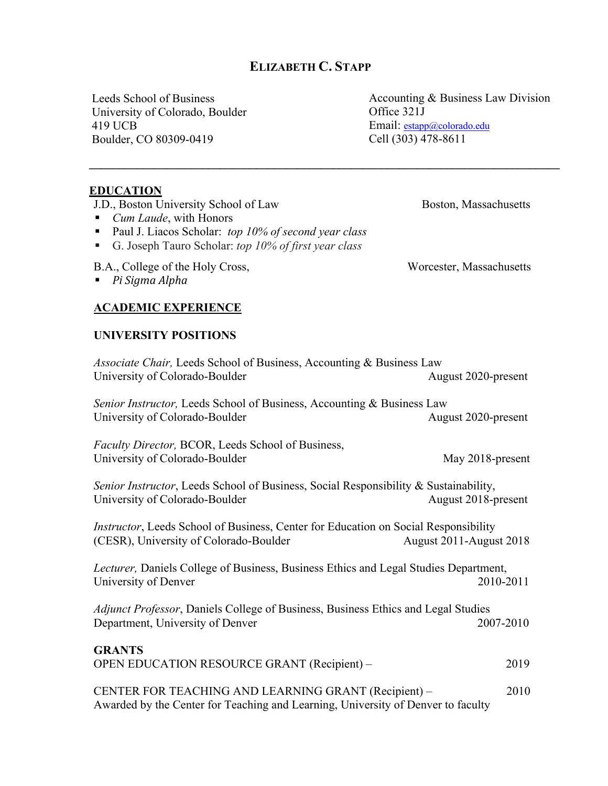## **ELIZABETH C. STAPP**

**\_\_\_\_\_\_\_\_\_\_\_\_\_\_\_\_\_\_\_\_\_\_\_\_\_\_\_\_\_\_\_\_\_\_\_\_\_\_\_\_\_\_\_\_\_\_\_\_\_\_\_\_\_\_\_\_\_\_\_\_\_\_\_\_\_\_\_\_\_\_\_\_\_\_\_\_\_\_\_**

Leeds School of Business University of Colorado, Boulder 419 UCB Boulder, CO 80309-0419

Accounting & Business Law Division Office 321J Email: estapp@colorado.edu Cell (303) 478-8611

#### **EDUCATION**

J.D., Boston University School of Law Boston, Massachusetts

- *Cum Laude*, with Honors
- § Paul J. Liacos Scholar: *top 10% of second year class*
- § G. Joseph Tauro Scholar: *top 10% of first year class*

B.A., College of the Holy Cross, Worcester, Massachusetts

■ *Pi Sigma Alpha* 

### **ACADEMIC EXPERIENCE**

#### **UNIVERSITY POSITIONS**

| Associate Chair, Leeds School of Business, Accounting & Business Law<br>University of Colorado-Boulder                                   | August 2020-present     |
|------------------------------------------------------------------------------------------------------------------------------------------|-------------------------|
| Senior Instructor, Leeds School of Business, Accounting & Business Law<br>University of Colorado-Boulder                                 | August 2020-present     |
| Faculty Director, BCOR, Leeds School of Business,<br>University of Colorado-Boulder                                                      | May 2018-present        |
| Senior Instructor, Leeds School of Business, Social Responsibility & Sustainability,<br>University of Colorado-Boulder                   | August 2018-present     |
| Instructor, Leeds School of Business, Center for Education on Social Responsibility<br>(CESR), University of Colorado-Boulder            | August 2011-August 2018 |
| Lecturer, Daniels College of Business, Business Ethics and Legal Studies Department,<br>University of Denver                             | 2010-2011               |
| Adjunct Professor, Daniels College of Business, Business Ethics and Legal Studies<br>Department, University of Denver                    | 2007-2010               |
| <b>GRANTS</b><br>OPEN EDUCATION RESOURCE GRANT (Recipient) -                                                                             | 2019                    |
| CENTER FOR TEACHING AND LEARNING GRANT (Recipient) -<br>Awarded by the Center for Teaching and Learning, University of Denver to faculty | 2010                    |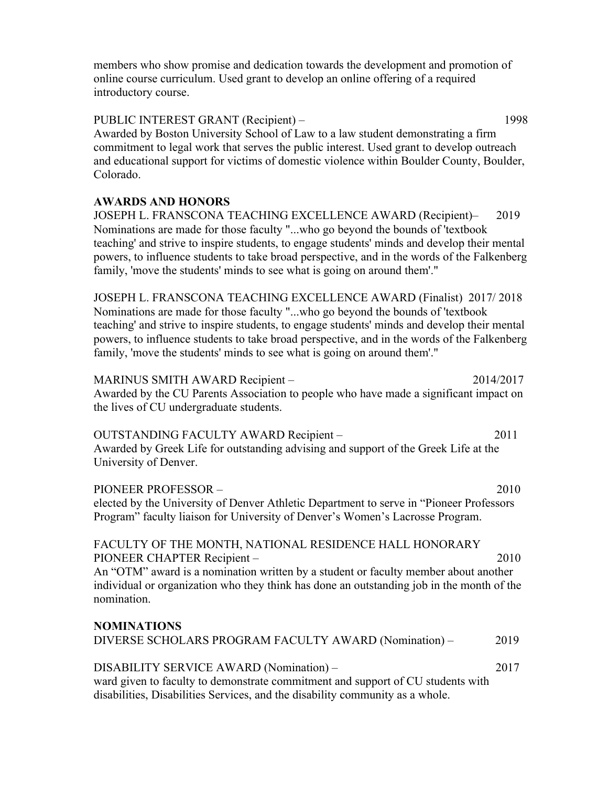members who show promise and dedication towards the development and promotion of online course curriculum. Used grant to develop an online offering of a required introductory course.

PUBLIC INTEREST GRANT (Recipient) – 1998 Awarded by Boston University School of Law to a law student demonstrating a firm commitment to legal work that serves the public interest. Used grant to develop outreach and educational support for victims of domestic violence within Boulder County, Boulder, Colorado.

#### **AWARDS AND HONORS**

JOSEPH L. FRANSCONA TEACHING EXCELLENCE AWARD (Recipient)– 2019 Nominations are made for those faculty "...who go beyond the bounds of 'textbook teaching' and strive to inspire students, to engage students' minds and develop their mental powers, to influence students to take broad perspective, and in the words of the Falkenberg family, 'move the students' minds to see what is going on around them'."

JOSEPH L. FRANSCONA TEACHING EXCELLENCE AWARD (Finalist) 2017/ 2018 Nominations are made for those faculty "...who go beyond the bounds of 'textbook teaching' and strive to inspire students, to engage students' minds and develop their mental powers, to influence students to take broad perspective, and in the words of the Falkenberg family, 'move the students' minds to see what is going on around them'."

MARINUS SMITH AWARD Recipient – 2014/2017 Awarded by the CU Parents Association to people who have made a significant impact on the lives of CU undergraduate students.

#### OUTSTANDING FACULTY AWARD Recipient – 2011 Awarded by Greek Life for outstanding advising and support of the Greek Life at the University of Denver.

PIONEER PROFESSOR – 2010 elected by the University of Denver Athletic Department to serve in "Pioneer Professors Program" faculty liaison for University of Denver's Women's Lacrosse Program.

### FACULTY OF THE MONTH, NATIONAL RESIDENCE HALL HONORARY PIONEER CHAPTER Recipient – 2010

An "OTM" award is a nomination written by a student or faculty member about another individual or organization who they think has done an outstanding job in the month of the nomination.

# **NOMINATIONS** DIVERSE SCHOLARS PROGRAM FACULTY AWARD (Nomination) – 2019 DISABILITY SERVICE AWARD (Nomination) – 2017

ward given to faculty to demonstrate commitment and support of CU students with disabilities, Disabilities Services, and the disability community as a whole.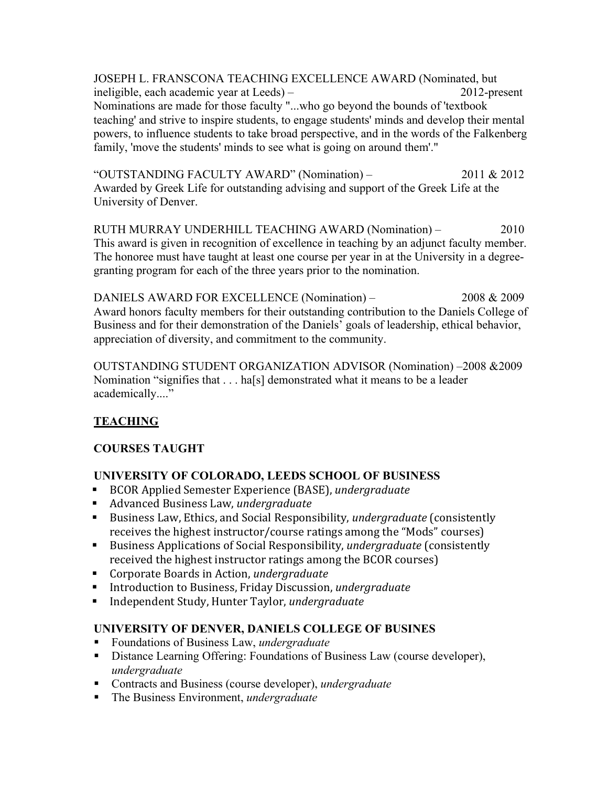JOSEPH L. FRANSCONA TEACHING EXCELLENCE AWARD (Nominated, but ineligible, each academic year at Leeds) – 2012-present Nominations are made for those faculty "...who go beyond the bounds of 'textbook teaching' and strive to inspire students, to engage students' minds and develop their mental powers, to influence students to take broad perspective, and in the words of the Falkenberg family, 'move the students' minds to see what is going on around them'."

"OUTSTANDING FACULTY AWARD" (Nomination) – 2011 & 2012 Awarded by Greek Life for outstanding advising and support of the Greek Life at the University of Denver.

RUTH MURRAY UNDERHILL TEACHING AWARD (Nomination) – 2010 This award is given in recognition of excellence in teaching by an adjunct faculty member. The honoree must have taught at least one course per year in at the University in a degreegranting program for each of the three years prior to the nomination.

DANIELS AWARD FOR EXCELLENCE (Nomination) – 2008 & 2009 Award honors faculty members for their outstanding contribution to the Daniels College of Business and for their demonstration of the Daniels' goals of leadership, ethical behavior, appreciation of diversity, and commitment to the community.

OUTSTANDING STUDENT ORGANIZATION ADVISOR (Nomination) –2008 &2009 Nomination "signifies that  $\dots$  ha[s] demonstrated what it means to be a leader academically...."

## **TEACHING**

## **COURSES TAUGHT**

## **UNIVERSITY OF COLORADO, LEEDS SCHOOL OF BUSINESS**

- BCOR Applied Semester Experience (BASE), *undergraduate*
- Advanced Business Law, *undergraduate*
- Business Law, Ethics, and Social Responsibility, *undergraduate* (consistently receives the highest instructor/course ratings among the "Mods" courses)
- Business Applications of Social Responsibility, *undergraduate* (consistently received the highest instructor ratings among the BCOR courses)
- Corporate Boards in Action, *undergraduate*
- Introduction to Business, Friday Discussion, *undergraduate*
- Independent Study, Hunter Taylor, *undergraduate*

## **UNIVERSITY OF DENVER, DANIELS COLLEGE OF BUSINES**

- § Foundations of Business Law, *undergraduate*
- Distance Learning Offering: Foundations of Business Law (course developer), *undergraduate*
- Contracts and Business (course developer), *undergraduate*
- § The Business Environment, *undergraduate*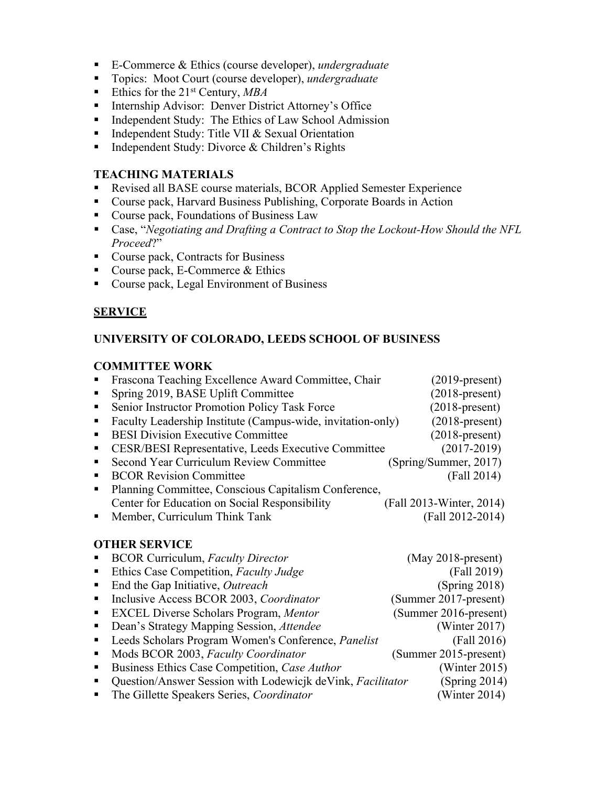- E-Commerce & Ethics (course developer), *undergraduate*
- Topics: Moot Court (course developer), *undergraduate*
- Ethics for the 21<sup>st</sup> Century, *MBA*
- Internship Advisor: Denver District Attorney's Office
- Independent Study: The Ethics of Law School Admission
- Independent Study: Title VII & Sexual Orientation
- Independent Study: Divorce & Children's Rights

#### **TEACHING MATERIALS**

- Revised all BASE course materials, BCOR Applied Semester Experience
- Course pack, Harvard Business Publishing, Corporate Boards in Action
- Course pack, Foundations of Business Law
- Case, "*Negotiating and Drafting a Contract to Stop the Lockout-How Should the NFL Proceed*?"
- Course pack, Contracts for Business
- Course pack, E-Commerce & Ethics
- Course pack, Legal Environment of Business

## **SERVICE**

#### **UNIVERSITY OF COLORADO, LEEDS SCHOOL OF BUSINESS**

#### **COMMITTEE WORK**

|                | Frascona Teaching Excellence Award Committee, Chair         | $(2019$ -present)        |
|----------------|-------------------------------------------------------------|--------------------------|
|                | Spring 2019, BASE Uplift Committee                          | $(2018$ -present)        |
| $\blacksquare$ | Senior Instructor Promotion Policy Task Force               | $(2018\text{-}present)$  |
| п.             | Faculty Leadership Institute (Campus-wide, invitation-only) | $(2018$ -present)        |
|                | <b>BESI Division Executive Committee</b>                    | $(2018\text{-present})$  |
|                | <b>CESR/BESI Representative, Leeds Executive Committee</b>  | $(2017 - 2019)$          |
|                | Second Year Curriculum Review Committee                     | (Spring/Summer, 2017)    |
|                | <b>BCOR Revision Committee</b>                              | (Fall 2014)              |
|                | Planning Committee, Conscious Capitalism Conference,        |                          |
|                | Center for Education on Social Responsibility               | (Fall 2013-Winter, 2014) |
|                | Member, Curriculum Think Tank                               | (Fall 2012-2014)         |
|                |                                                             |                          |

#### **OTHER SERVICE**

|                | • BCOR Curriculum, Faculty Director                          | $(May 2018-present)$  |
|----------------|--------------------------------------------------------------|-----------------------|
| $\blacksquare$ | Ethics Case Competition, Faculty Judge                       | (Fall 2019)           |
| $\blacksquare$ | End the Gap Initiative, Outreach                             | (Spring 2018)         |
|                | • Inclusive Access BCOR 2003, Coordinator                    | (Summer 2017-present) |
|                | <b>EXCEL Diverse Scholars Program, Mentor</b>                | (Summer 2016-present) |
|                | • Dean's Strategy Mapping Session, <i>Attendee</i>           | (Winter $2017$ )      |
|                | • Leeds Scholars Program Women's Conference, <i>Panelist</i> | (Fall 2016)           |
|                | • Mods BCOR 2003, Faculty Coordinator                        | (Summer 2015-present) |
|                | • Business Ethics Case Competition, Case Author              | (Winter $2015$ )      |
| $\blacksquare$ | Question/Answer Session with Lodewicjk deVink, Facilitator   | (Spring 2014)         |
| $\blacksquare$ | The Gillette Speakers Series, Coordinator                    | (Winter $2014$ )      |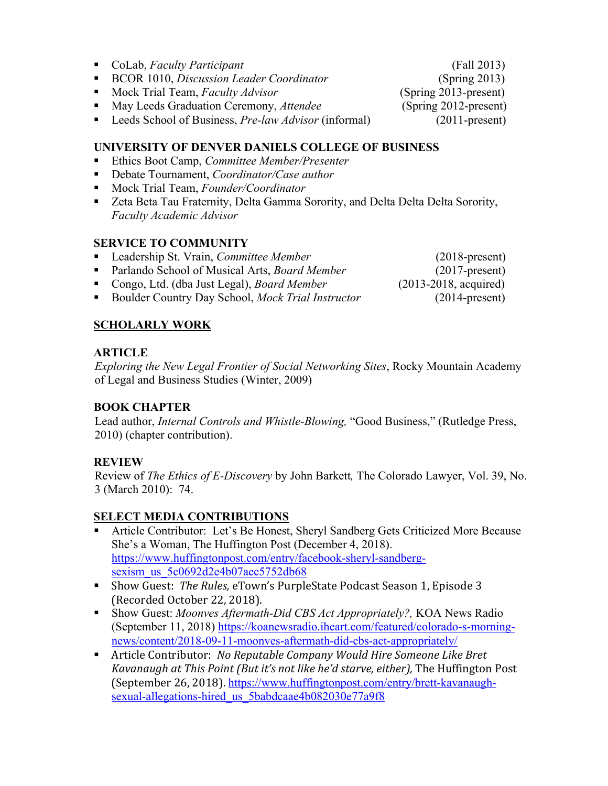- § CoLab, *Faculty Participant* (Fall 2013)
- BCOR 1010, *Discussion Leader Coordinator* (Spring 2013)
- Mock Trial Team, *Faculty Advisor* (Spring 2013-present)

■ May Leeds Graduation Ceremony, *Attendee* (Spring 2012-present)

■ Leeds School of Business, *Pre-law Advisor* (informal) (2011-present)

### **UNIVERSITY OF DENVER DANIELS COLLEGE OF BUSINESS**

- § Ethics Boot Camp, *Committee Member/Presenter*
- Debate Tournament, *Coordinator/Case author*
- Mock Trial Team, *Founder/Coordinator*
- Zeta Beta Tau Fraternity, Delta Gamma Sorority, and Delta Delta Delta Sorority, *Faculty Academic Advisor*

### **SERVICE TO COMMUNITY**

- Leadership St. Vrain, *Committee Member* (2018-present)
- Parlando School of Musical Arts, *Board Member* (2017-present)
- Congo, Ltd. (dba Just Legal), *Board Member* (2013-2018, acquired)
- Boulder Country Day School, *Mock Trial Instructor* (2014-present)

## **SCHOLARLY WORK**

## **ARTICLE**

*Exploring the New Legal Frontier of Social Networking Sites*, Rocky Mountain Academy of Legal and Business Studies (Winter, 2009)

## **BOOK CHAPTER**

Lead author, *Internal Controls and Whistle-Blowing,* "Good Business," (Rutledge Press, 2010) (chapter contribution).

## **REVIEW**

Review of *The Ethics of E-Discovery* by John Barkett*,* The Colorado Lawyer, Vol. 39, No. 3 (March 2010): 74.

## **SELECT MEDIA CONTRIBUTIONS**

- § Article Contributor: Let's Be Honest, Sheryl Sandberg Gets Criticized More Because She's a Woman, The Huffington Post (December 4, 2018). https://www.huffingtonpost.com/entry/facebook-sheryl-sandbergsexism\_us\_5c0692d2e4b07aec5752db68
- Show Guest: The Rules, eTown's PurpleState Podcast Season 1, Episode 3 (Recorded October 22, 2018).
- § Show Guest: *Moonves Aftermath-Did CBS Act Appropriately?,* KOA News Radio (September 11, 2018) https://koanewsradio.iheart.com/featured/colorado-s-morningnews/content/2018-09-11-moonves-aftermath-did-cbs-act-appropriately/
- Article Contributor: No Reputable Company Would Hire Someone Like Bret *Kavanaugh at This Point (But it's not like he'd starve, either)*, The Huffington Post (September 26, 2018). https://www.huffingtonpost.com/entry/brett-kavanaughsexual-allegations-hired\_us\_5babdcaae4b082030e77a9f8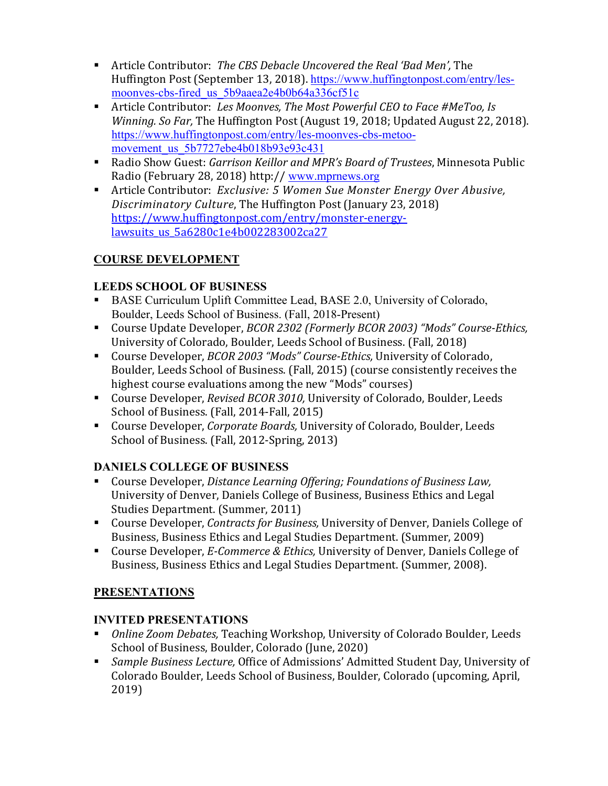- Article Contributor: The CBS Debacle Uncovered the Real 'Bad Men', The Huffington Post (September 13, 2018). https://www.huffingtonpost.com/entry/lesmoonves-cbs-fired\_us\_5b9aaea2e4b0b64a336cf51c
- Article Contributor: Les Moonves, The Most Powerful CEO to Face #MeToo, Is *Winning. So Far,* The Huffington Post (August 19, 2018; Updated August 22, 2018). https://www.huffingtonpost.com/entry/les-moonves-cbs-metoomovement\_us\_5b7727ebe4b018b93e93c431
- Radio Show Guest: *Garrison Keillor and MPR's Board of Trustees*, Minnesota Public Radio (February 28, 2018) http:// www.mprnews.org
- Article Contributor: *Exclusive:* 5 Women Sue Monster *Energy Over Abusive*, *Discriminatory Culture*, The Huffington Post (January 23, 2018) https://www.huffingtonpost.com/entry/monster-energylawsuits us 5a6280c1e4b002283002ca27

## **COURSE DEVELOPMENT**

## **LEEDS SCHOOL OF BUSINESS**

- BASE Curriculum Uplift Committee Lead, BASE 2.0, University of Colorado, Boulder, Leeds School of Business. (Fall, 2018-Present)
- Course Update Developer, *BCOR 2302 (Formerly BCOR 2003)* "Mods" Course-Ethics, University of Colorado, Boulder, Leeds School of Business. (Fall, 2018)
- Course Developer, *BCOR 2003 "Mods" Course-Ethics*, University of Colorado, Boulder, Leeds School of Business. (Fall, 2015) (course consistently receives the highest course evaluations among the new "Mods" courses)
- Course Developer, *Revised BCOR 3010*, University of Colorado, Boulder, Leeds School of Business. (Fall, 2014-Fall, 2015)
- Course Developer, *Corporate Boards*, University of Colorado, Boulder, Leeds School of Business. (Fall, 2012-Spring, 2013)

## **DANIELS COLLEGE OF BUSINESS**

- Course Developer, *Distance Learning Offering; Foundations of Business Law,* University of Denver, Daniels College of Business, Business Ethics and Legal Studies Department. (Summer, 2011)
- Course Developer, *Contracts for Business*, University of Denver, Daniels College of Business, Business Ethics and Legal Studies Department. (Summer, 2009)
- Course Developer, *E-Commerce & Ethics*, University of Denver, Daniels College of Business, Business Ethics and Legal Studies Department. (Summer, 2008).

## **PRESENTATIONS**

## **INVITED PRESENTATIONS**

- <sup>■</sup> *Online Zoom Debates,* Teaching Workshop, University of Colorado Boulder, Leeds School of Business, Boulder, Colorado (June, 2020)
- Sample Business Lecture, Office of Admissions' Admitted Student Day, University of Colorado Boulder, Leeds School of Business, Boulder, Colorado (upcoming, April, 2019)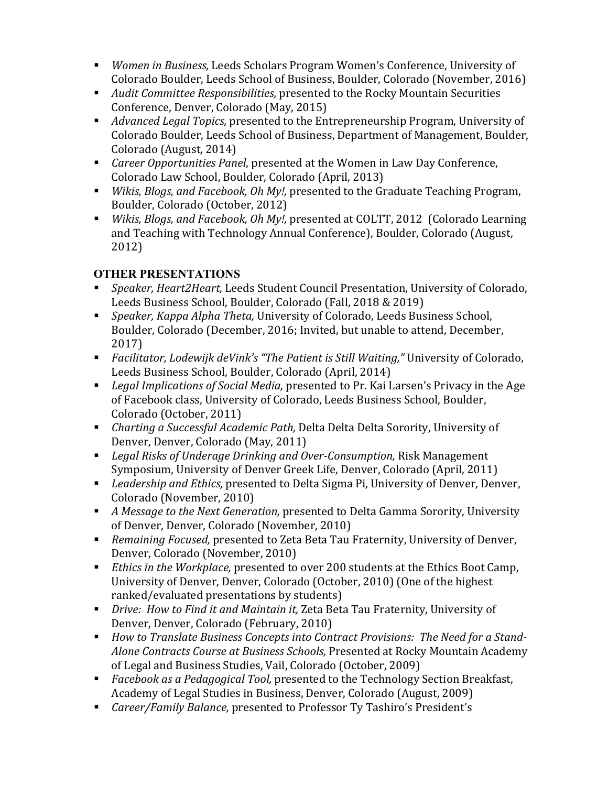- *Women in Business, Leeds Scholars Program Women's Conference, University of* Colorado Boulder, Leeds School of Business, Boulder, Colorado (November, 2016)
- *Audit Committee Responsibilities,* presented to the Rocky Mountain Securities Conference, Denver, Colorado (May, 2015)
- *Advanced Legal Topics,* presented to the Entrepreneurship Program, University of Colorado Boulder, Leeds School of Business, Department of Management, Boulder, Colorado (August, 2014)
- *Career Opportunities Panel*, presented at the Women in Law Day Conference, Colorado Law School, Boulder, Colorado (April, 2013)
- *Wikis, Blogs, and Facebook, Oh My!,* presented to the Graduate Teaching Program, Boulder, Colorado (October, 2012)
- *Wikis, Blogs, and Facebook, Oh My!,* presented at COLTT, 2012 (Colorado Learning and Teaching with Technology Annual Conference), Boulder, Colorado (August, 2012)

## **OTHER PRESENTATIONS**

- *Speaker, Heart2Heart*, Leeds Student Council Presentation, University of Colorado, Leeds Business School, Boulder, Colorado (Fall, 2018 & 2019)
- *Speaker, Kappa Alpha Theta,* University of Colorado, Leeds Business School, Boulder, Colorado (December, 2016; Invited, but unable to attend, December, 2017)
- *Facilitator, Lodewijk deVink's "The Patient is Still Waiting,"* University of Colorado, Leeds Business School, Boulder, Colorado (April, 2014)
- *Legal Implications of Social Media,* presented to Pr. Kai Larsen's Privacy in the Age of Facebook class, University of Colorado, Leeds Business School, Boulder, Colorado (October, 2011)
- *Charting a Successful Academic Path, Delta Delta Delta Sorority, University of* Denver, Denver, Colorado (May, 2011)
- *Legal Risks of Underage Drinking and Over-Consumption, Risk Management* Symposium, University of Denver Greek Life, Denver, Colorado (April, 2011)
- *Leadership and Ethics,* presented to Delta Sigma Pi, University of Denver, Denver, Colorado (November, 2010)
- *A Message to the Next Generation,* presented to Delta Gamma Sorority, University of Denver, Denver, Colorado (November, 2010)
- Remaining Focused, presented to Zeta Beta Tau Fraternity, University of Denver, Denver, Colorado (November, 2010)
- *Ethics in the Workplace,* presented to over 200 students at the Ethics Boot Camp, University of Denver, Denver, Colorado (October, 2010) (One of the highest ranked/evaluated presentations by students)
- *Drive: How to Find it and Maintain it, Zeta Beta Tau Fraternity, University of* Denver, Denver, Colorado (February, 2010)
- *How to Translate Business Concepts into Contract Provisions: The Need for a Stand-Alone Contracts Course at Business Schools, Presented at Rocky Mountain Academy* of Legal and Business Studies, Vail, Colorado (October, 2009)
- *Facebook as a Pedagogical Tool,* presented to the Technology Section Breakfast, Academy of Legal Studies in Business, Denver, Colorado (August, 2009)
- *Career/Family Balance,* presented to Professor Ty Tashiro's President's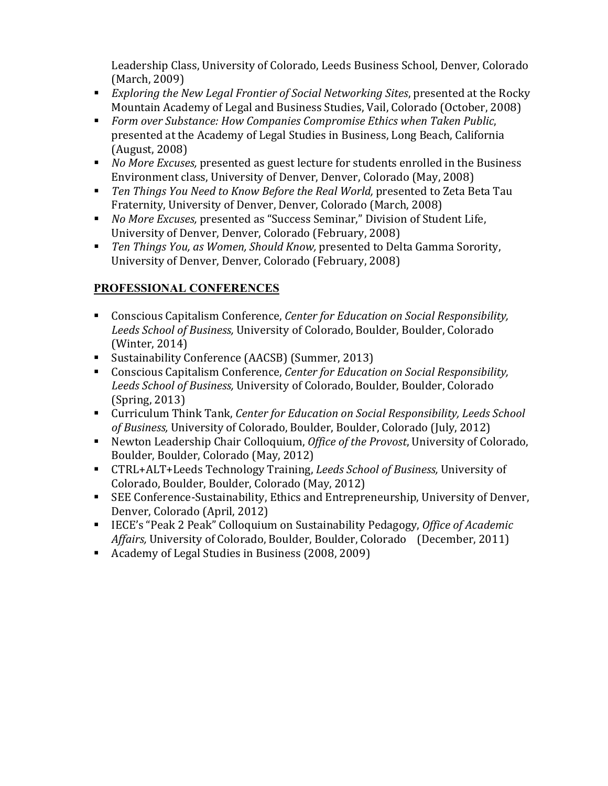Leadership Class, University of Colorado, Leeds Business School, Denver, Colorado (March, 2009)

- *Exploring the New Legal Frontier of Social Networking Sites, presented at the Rocky* Mountain Academy of Legal and Business Studies, Vail, Colorado (October, 2008)
- Form over Substance: How Companies Compromise Ethics when Taken Public, presented at the Academy of Legal Studies in Business, Long Beach, California (August, 2008)
- *No More Excuses,* presented as guest lecture for students enrolled in the Business Environment class, University of Denver, Denver, Colorado (May, 2008)
- Ten Things You Need to Know Before the Real World, presented to Zeta Beta Tau Fraternity, University of Denver, Denver, Colorado (March, 2008)
- *No More Excuses,* presented as "Success Seminar," Division of Student Life, University of Denver, Denver, Colorado (February, 2008)
- Ten Things You, as Women, Should Know, presented to Delta Gamma Sorority, University of Denver, Denver, Colorado (February, 2008)

## **PROFESSIONAL CONFERENCES**

- Conscious Capitalism Conference, *Center for Education on Social Responsibility*, *Leeds School of Business,* University of Colorado, Boulder, Boulder, Colorado (Winter, 2014)
- Sustainability Conference (AACSB) (Summer, 2013)
- Conscious Capitalism Conference, *Center for Education on Social Responsibility*, Leeds School of Business, University of Colorado, Boulder, Boulder, Colorado  $(Spring, 2013)$
- Curriculum Think Tank, Center for Education on Social Responsibility, Leeds School *of Business, University of Colorado, Boulder, Boulder, Colorado (July, 2012)*
- Newton Leadership Chair Colloquium, *Office of the Provost*, University of Colorado, Boulder, Boulder, Colorado (May, 2012)
- CTRL+ALT+Leeds Technology Training, *Leeds School of Business*, University of Colorado, Boulder, Boulder, Colorado (May, 2012)
- SEE Conference-Sustainability, Ethics and Entrepreneurship, University of Denver, Denver, Colorado (April, 2012)
- IECE's "Peak 2 Peak" Colloquium on Sustainability Pedagogy, *Office of Academic Affairs,* University of Colorado, Boulder, Boulder, Colorado (December, 2011)
- Academy of Legal Studies in Business (2008, 2009)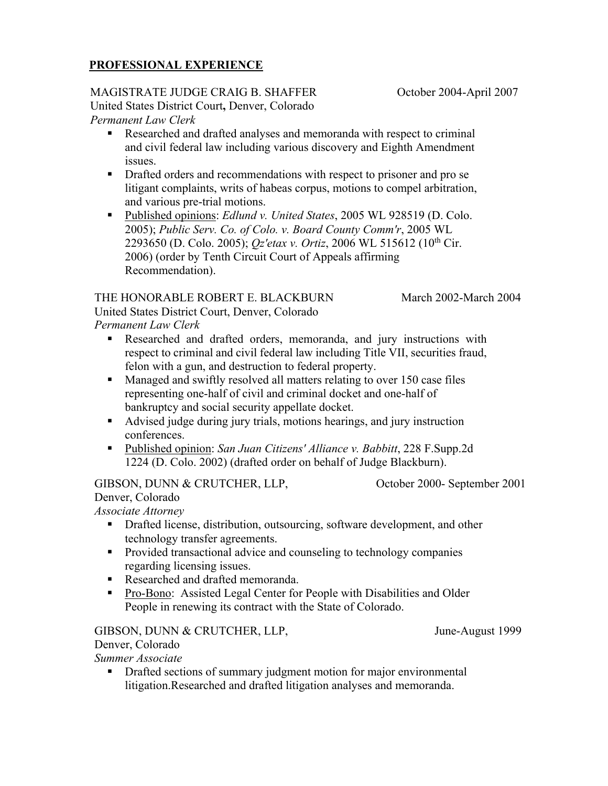### **PROFESSIONAL EXPERIENCE**

#### MAGISTRATE JUDGE CRAIG B. SHAFFER

United States District Court**,** Denver, Colorado *Permanent Law Clerk*

- Researched and drafted analyses and memoranda with respect to criminal and civil federal law including various discovery and Eighth Amendment issues.
- Drafted orders and recommendations with respect to prisoner and pro se litigant complaints, writs of habeas corpus, motions to compel arbitration, and various pre-trial motions.
- § Published opinions: *Edlund v. United States*, 2005 WL 928519 (D. Colo. 2005); *Public Serv. Co. of Colo. v. Board County Comm'r*, 2005 WL 2293650 (D. Colo. 2005); *Qz'etax v. Ortiz*, 2006 WL 515612 (10th Cir. 2006) (order by Tenth Circuit Court of Appeals affirming Recommendation).

#### THE HONORABLE ROBERT E. BLACKBURN United States District Court, Denver, Colorado

March 2002-March 2004

*Permanent Law Clerk*

- § Researched and drafted orders, memoranda, and jury instructions with respect to criminal and civil federal law including Title VII, securities fraud, felon with a gun, and destruction to federal property.
- Managed and swiftly resolved all matters relating to over 150 case files representing one-half of civil and criminal docket and one-half of bankruptcy and social security appellate docket.
- Advised judge during jury trials, motions hearings, and jury instruction conferences.
- Published opinion: *San Juan Citizens' Alliance v. Babbitt*, 228 F.Supp.2d 1224 (D. Colo. 2002) (drafted order on behalf of Judge Blackburn).

GIBSON, DUNN & CRUTCHER, LLP,

October 2000- September 2001

Denver, Colorado *Associate Attorney* 

- Drafted license, distribution, outsourcing, software development, and other technology transfer agreements.
- Provided transactional advice and counseling to technology companies regarding licensing issues.
- Researched and drafted memoranda.
- Pro-Bono: Assisted Legal Center for People with Disabilities and Older People in renewing its contract with the State of Colorado.

GIBSON, DUNN & CRUTCHER, LLP,

Denver, Colorado

*Summer Associate*

• Drafted sections of summary judgment motion for major environmental litigation.Researched and drafted litigation analyses and memoranda.

June-August 1999

October 2004-April 2007